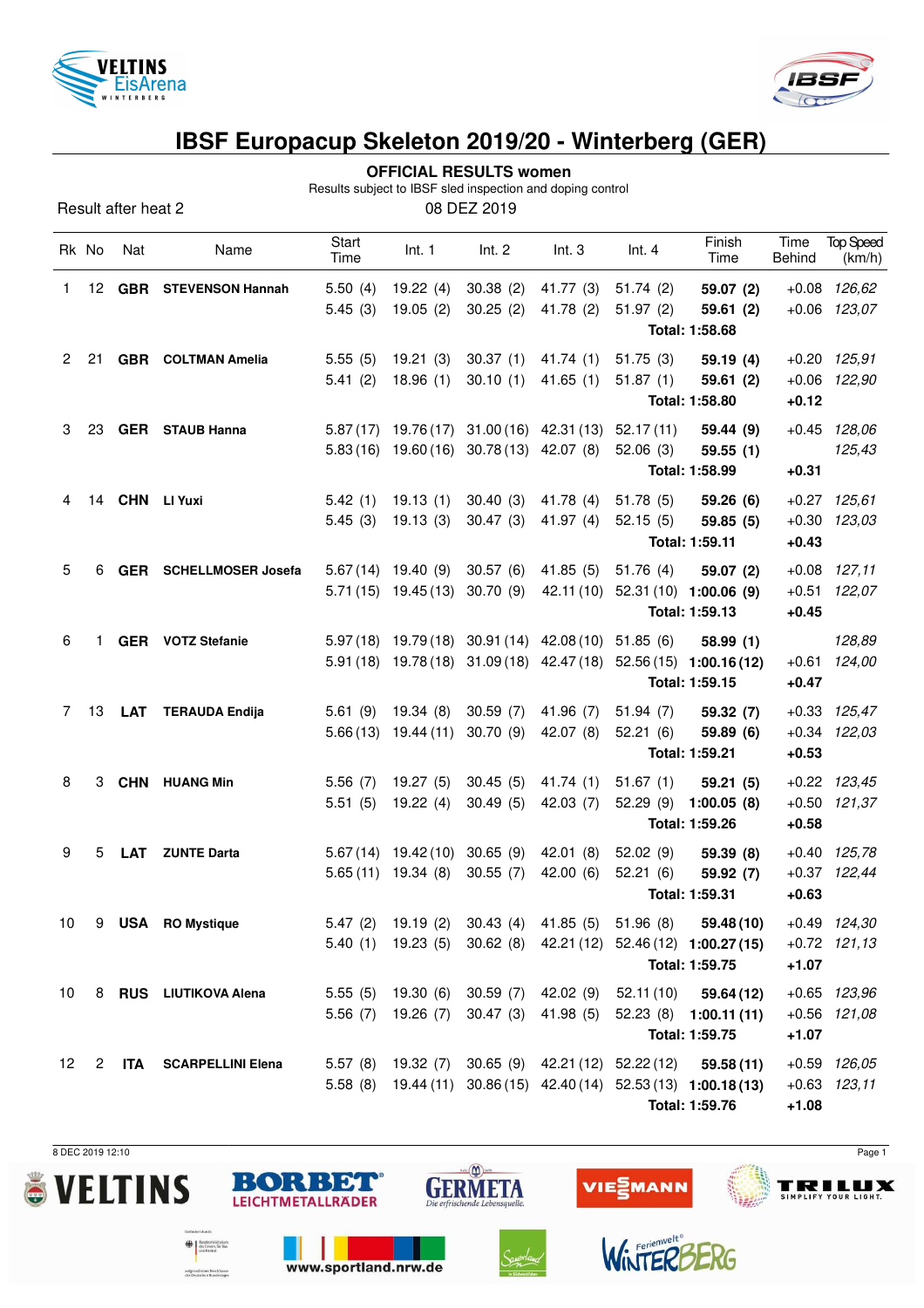



#### **OFFICIAL RESULTS women**

Results subject to IBSF sled inspection and doping control

|                      |       | Result after heat 2 |                               |                      |                                                        | 08 DEZ 2019                               |                                                      |                                                  |                                                                                                                                    |                |                                      |
|----------------------|-------|---------------------|-------------------------------|----------------------|--------------------------------------------------------|-------------------------------------------|------------------------------------------------------|--------------------------------------------------|------------------------------------------------------------------------------------------------------------------------------------|----------------|--------------------------------------|
|                      | Rk No | Nat                 | Name                          | <b>Start</b><br>Time | Int. 1                                                 | Int. 2                                    | Int.3                                                | Int.4                                            | Finish<br>Time                                                                                                                     | Time<br>Behind | <b>Top Speed</b><br>(km/h)           |
| 1                    |       |                     | 12 GBR STEVENSON Hannah       | 5.50(4)<br>5.45(3)   | 19.22(4)<br>19.05(2)                                   | 30.38(2)<br>30.25(2)                      | 41.77 (3)<br>41.78(2)                                | 51.74(2)<br>51.97(2)                             | 59.07 (2)<br>59.61(2)<br>Total: 1:58.68                                                                                            |                | $+0.08$ 126,62<br>$+0.06$ 123,07     |
| $\mathbf{2}^{\circ}$ | 21    |                     | <b>GBR</b> COLTMAN Amelia     | 5.55(5)<br>5.41(2)   | 19.21(3)<br>18.96(1)                                   | 30.37(1)<br>30.10(1)                      | 41.74(1)<br>41.65(1)                                 | 51.75(3)<br>51.87(1)                             | 59.19(4)<br>59.61(2)<br>Total: 1:58.80                                                                                             | $+0.12$        | $+0.20$ $125,91$<br>+0.06 122,90     |
| 3                    | 23    |                     | <b>GER</b> STAUB Hanna        |                      |                                                        | 5.83 (16) 19.60 (16) 30.78 (13) 42.07 (8) | 5.87 (17) 19.76 (17) 31.00 (16) 42.31 (13)           | 52.17(11)<br>52.06(3)                            | 59.44 (9)<br>59.55(1)<br>Total: 1:58.99                                                                                            | $+0.31$        | $+0.45$ 128,06<br>125,43             |
| 4                    |       |                     | 14 CHN LI Yuxi                | 5.42(1)<br>5.45(3)   | 19.13(1)<br>19.13(3)                                   | 30.40(3)<br>30.47(3)                      | 41.78 (4)<br>41.97 (4)                               | 51.78(5)<br>52.15(5)                             | 59.26(6)<br>59.85(5)<br>Total: 1:59.11                                                                                             | $+0.43$        | $+0.27$ 125,61<br>$+0.30$ $123,03$   |
| 5                    | 6     |                     | <b>GER</b> SCHELLMOSER Josefa |                      | $5.67(14)$ 19.40 (9)<br>$5.71(15)$ 19.45(13)           | 30.57(6)<br>30.70(9)                      | 41.85(5)                                             | 51.76 (4)<br>42.11 (10) 52.31 (10) 1:00.06 (9)   | 59.07 (2)<br>Total: 1:59.13                                                                                                        | $+0.45$        | $+0.08$ 127,11<br>+0.51 122,07       |
| 6                    | 1.    |                     | <b>GER</b> VOTZ Stefanie      |                      |                                                        |                                           | 5.97 (18) 19.79 (18) 30.91 (14) 42.08 (10) 51.85 (6) |                                                  | 58.99(1)<br>5.91 (18) 19.78 (18) 31.09 (18) 42.47 (18) 52.56 (15) 1:00.16 (12)<br>Total: 1:59.15                                   | $+0.47$        | 128,89<br>$+0.61$ 124,00             |
| 7                    | 13    | LAT                 | <b>TERAUDA Endija</b>         | 5.61(9)              | 19.34(8)<br>$5.66(13)$ 19.44 (11)                      | 30.59(7)<br>30.70(9)                      | 41.96(7)<br>42.07 (8)                                | 51.94(7)<br>52.21(6)                             | 59.32 (7)<br>59.89 (6)<br>Total: 1:59.21                                                                                           | $+0.53$        | $+0.33$ $125,47$<br>$+0.34$ $122,03$ |
| 8                    | 3     |                     | CHN HUANG Min                 | 5.56(7)<br>5.51(5)   | 19.27 (5)<br>19.22(4)                                  | 30.45(5)<br>30.49(5)                      | 41.74(1)<br>42.03(7)                                 | 51.67(1)<br>52.29(9)                             | 59.21(5)<br>1:00.05(8)<br>Total: 1:59.26                                                                                           | $+0.58$        | $+0.22$ $123,45$<br>$+0.50$ 121,37   |
| 9                    | 5     | <b>LAT</b>          | <b>ZUNTE Darta</b>            |                      | 5.67 (14) 19.42 (10) 30.65 (9)<br>$5.65(11)$ 19.34 (8) | 30.55(7)                                  | 42.01(8)<br>42.00(6)                                 | 52.02(9)<br>52.21(6)                             | 59.39 (8)<br>59.92 (7)<br>Total: 1:59.31                                                                                           | $+0.63$        | $+0.40$ 125,78<br>$+0.37$ 122,44     |
| 10 <sup>°</sup>      |       |                     | 9 USA RO Mystique             |                      | $5.40(1)$ 19.23 (5)                                    |                                           |                                                      | 5.47 (2) 19.19 (2) 30.43 (4) 41.85 (5) 51.96 (8) | 59.48 (10)<br>30.62 (8) 42.21 (12) 52.46 (12) 1:00.27 (15)<br>Total: 1:59.75                                                       | $+1.07$        | +0.49 124,30<br>$+0.72$ 121,13       |
| 10                   |       |                     | 8 RUS LIUTIKOVA Alena         |                      | 5.55 (5) 19.30 (6)<br>5.56 (7) 19.26 (7)               | 30.47(3)                                  | 30.59 (7) 42.02 (9)<br>41.98 (5)                     | 52.11 (10)                                       | 59.64 (12)<br>$52.23(8)$ 1:00.11(11)<br>Total: 1:59.75                                                                             | $+1.07$        | $+0.65$ $123,96$<br>$+0.56$ $121,08$ |
| 12 <sup>°</sup>      | 2     | ITA                 | <b>SCARPELLINI Elena</b>      |                      |                                                        |                                           |                                                      |                                                  | 5.57 (8) 19.32 (7) 30.65 (9) 42.21 (12) 52.22 (12) 59.58 (11)<br>5.58 (8) 19.44 (11) 30.86 (15) 42.40 (14) 52.53 (13) 1:00.18 (13) |                | $+0.59$ $126.05$<br>$+0.63$ $123,11$ |

 $sin(\sum)$  isn

**GERMETA** 

BORBET

**LEICHTMETALLRÄDER** 

www.sportland.nrw.de

the Burdesministerium<br>and Heimat

aufgrund eines Beschlussen<br>des Deutschen Bundestagen

**Total: 1:59.76 +1.08**

**EMANN** 

WinTERE

**VIE** 

8 DEC 2019 12:10 Page 1

**TRILUX** 

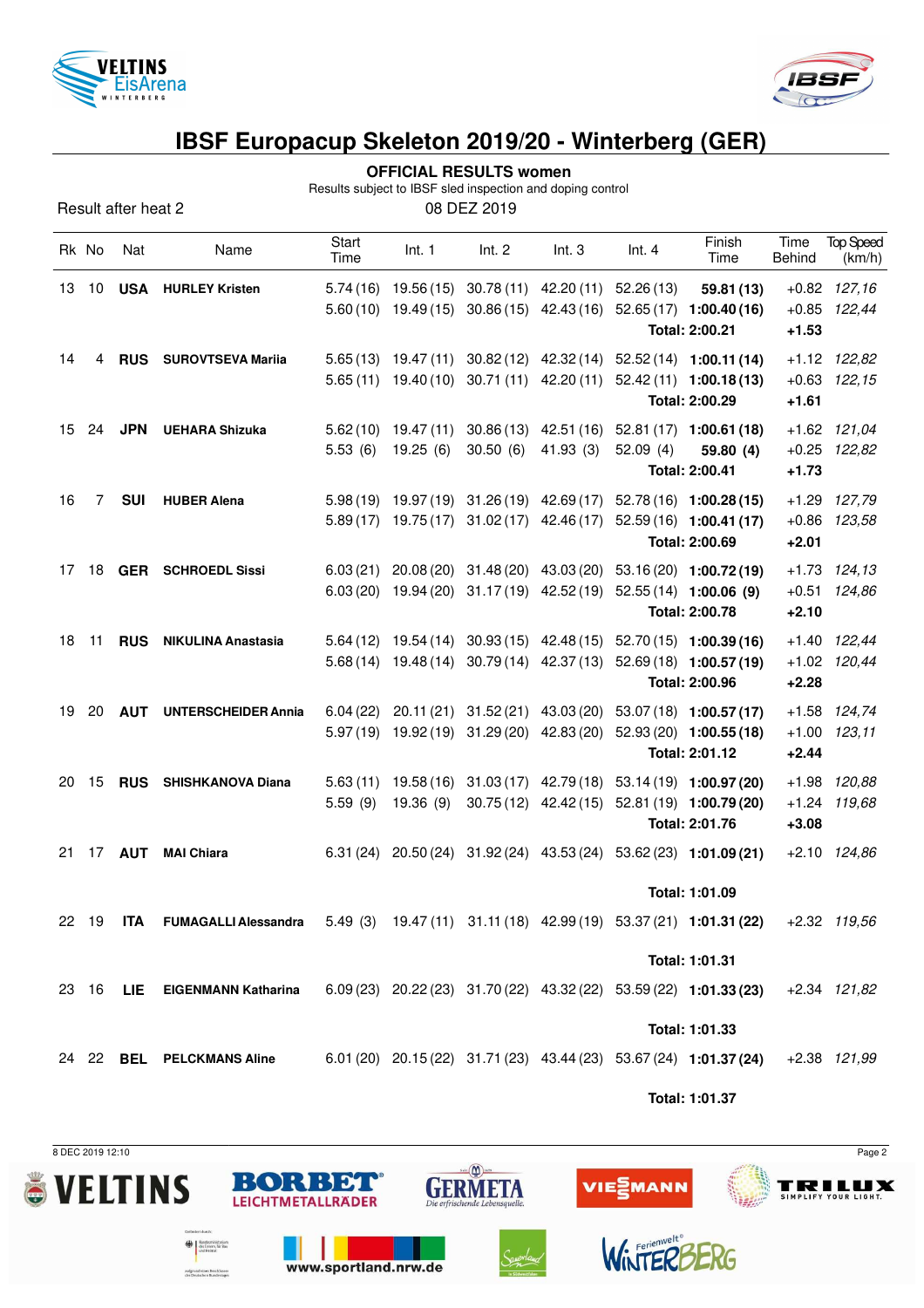



**OFFICIAL RESULTS women**

Results subject to IBSF sled inspection and doping control

| Result after heat 2 | 08 DEZ 2019 |
|---------------------|-------------|
|---------------------|-------------|

|    | Rk No | Nat           | Name                                                                                                    | Start<br>Time        | Int. 1                           | Int. 2                                         | Int.3                                                                                | Int.4    | Finish<br>Time                                                                                                  | Time<br>Behind                | <b>Top Speed</b><br>(km/h)         |
|----|-------|---------------|---------------------------------------------------------------------------------------------------------|----------------------|----------------------------------|------------------------------------------------|--------------------------------------------------------------------------------------|----------|-----------------------------------------------------------------------------------------------------------------|-------------------------------|------------------------------------|
| 13 | 10    |               | <b>USA HURLEY Kristen</b>                                                                               |                      | $5.60(10)$ 19.49(15)             | 30.86 (15)                                     | 5.74 (16) 19.56 (15) 30.78 (11) 42.20 (11) 52.26 (13)<br>42.43 (16)                  |          | 59.81 (13)<br>$52.65(17)$ 1:00.40(16)<br>Total: 2:00.21                                                         | $+1.53$                       | $+0.82$ 127,16<br>$+0.85$ 122,44   |
| 14 | 4     | <b>RUS</b>    | <b>SUROVTSEVA Mariia</b>                                                                                |                      |                                  |                                                | $5.65(13)$ 19.47(11) 30.82(12) 42.32(14)<br>$5.65(11)$ 19.40(10) 30.71(11) 42.20(11) |          | $52.52(14)$ 1:00.11(14)<br>$52.42(11)$ 1:00.18(13)<br>Total: 2:00.29                                            | $+1.61$                       | $+1.12$ $122,82$<br>$+0.63$ 122,15 |
| 15 | 24    | <b>JPN</b>    | <b>UEHARA Shizuka</b>                                                                                   | 5.53(6)              | $5.62(10)$ 19.47(11)<br>19.25(6) | 30.86 (13)<br>30.50(6)                         | 41.93(3)                                                                             | 52.09(4) | 42.51 (16) 52.81 (17) 1:00.61 (18)<br>59.80 (4)<br>Total: 2:00.41                                               | $+1.73$                       | $+1.62$ 121,04<br>$+0.25$ $122,82$ |
| 16 | 7     | <b>SUI</b>    | <b>HUBER Alena</b>                                                                                      |                      |                                  |                                                | $5.89(17)$ 19.75(17) 31.02(17) 42.46(17)                                             |          | 5.98 (19) 19.97 (19) 31.26 (19) 42.69 (17) 52.78 (16) 1:00.28 (15)<br>$52.59(16)$ 1:00.41(17)<br>Total: 2:00.69 | $+1.29$<br>$+0.86$<br>$+2.01$ | 127,79<br>123,58                   |
| 17 | 18    |               | <b>GER</b> SCHROEDL Sissi                                                                               | 6.03(21)             |                                  | 20.08 (20) 31.48 (20)                          | 43.03 (20)                                                                           |          | 53.16 (20) 1:00.72 (19)<br>6.03 (20) 19.94 (20) 31.17 (19) 42.52 (19) 52.55 (14) 1:00.06 (9)<br>Total: 2:00.78  | $+2.10$                       | $+1.73$ $124,13$<br>$+0.51$ 124,86 |
| 18 | 11    | <b>RUS</b>    | <b>NIKULINA Anastasia</b>                                                                               |                      |                                  |                                                | 5.68 (14) 19.48 (14) 30.79 (14) 42.37 (13)                                           |          | 5.64 (12) 19.54 (14) 30.93 (15) 42.48 (15) 52.70 (15) 1:00.39 (16)<br>52.69 (18) 1:00.57 (19)<br>Total: 2:00.96 | $+2.28$                       | $+1.40$ 122,44<br>+1.02 120,44     |
| 19 | 20    | AUT           | <b>UNTERSCHEIDER Annia</b>                                                                              | 6.04(22)<br>5.97(19) |                                  | 20.11 (21) 31.52 (21)<br>19.92 (19) 31.29 (20) | 43.03 (20)<br>42.83 (20)                                                             |          | $53.07(18)$ 1:00.57(17)<br>$52.93(20)$ 1:00.55 (18)<br>Total: 2:01.12                                           | $+2.44$                       | +1.58 124,74<br>$+1.00$ $123,11$   |
| 20 | 15    |               | RUS SHISHKANOVA Diana                                                                                   | 5.59(9)              | 19.36(9)                         | 30.75(12)                                      | 42.42 (15)                                                                           |          | 5.63 (11) 19.58 (16) 31.03 (17) 42.79 (18) 53.14 (19) 1:00.97 (20)<br>52.81 (19) 1:00.79 (20)<br>Total: 2:01.76 | $+1.24$<br>$+3.08$            | +1.98 120,88<br>119,68             |
| 21 |       | 17 <b>AUT</b> | <b>MAI Chiara</b>                                                                                       |                      |                                  |                                                |                                                                                      |          | 6.31 (24) 20.50 (24) 31.92 (24) 43.53 (24) 53.62 (23) 1:01.09 (21)<br>Total: 1:01.09                            |                               | $+2.10$ $124,86$                   |
| 22 | - 19  |               | ITA FUMAGALLI Alessandra 5.49 (3) 19.47 (11) 31.11 (18) 42.99 (19) 53.37 (21) 1:01.31 (22) +2.32 119,56 |                      |                                  |                                                |                                                                                      |          | Total: 1:01.31                                                                                                  |                               |                                    |
|    | 23 16 | LIE           | <b>EIGENMANN Katharina</b>                                                                              |                      |                                  |                                                |                                                                                      |          | $6.09(23)$ $20.22(23)$ $31.70(22)$ $43.32(22)$ $53.59(22)$ $1:01.33(23)$<br>Total: 1:01.33                      |                               | $+2.34$ $121,82$                   |
|    |       |               | 24 22 BEL PELCKMANS Aline                                                                               |                      |                                  |                                                |                                                                                      |          | 6.01 (20) 20.15 (22) 31.71 (23) 43.44 (23) 53.67 (24) 1:01.37 (24)<br>Total: 1:01.37                            |                               | $+2.38$ $121,99$                   |

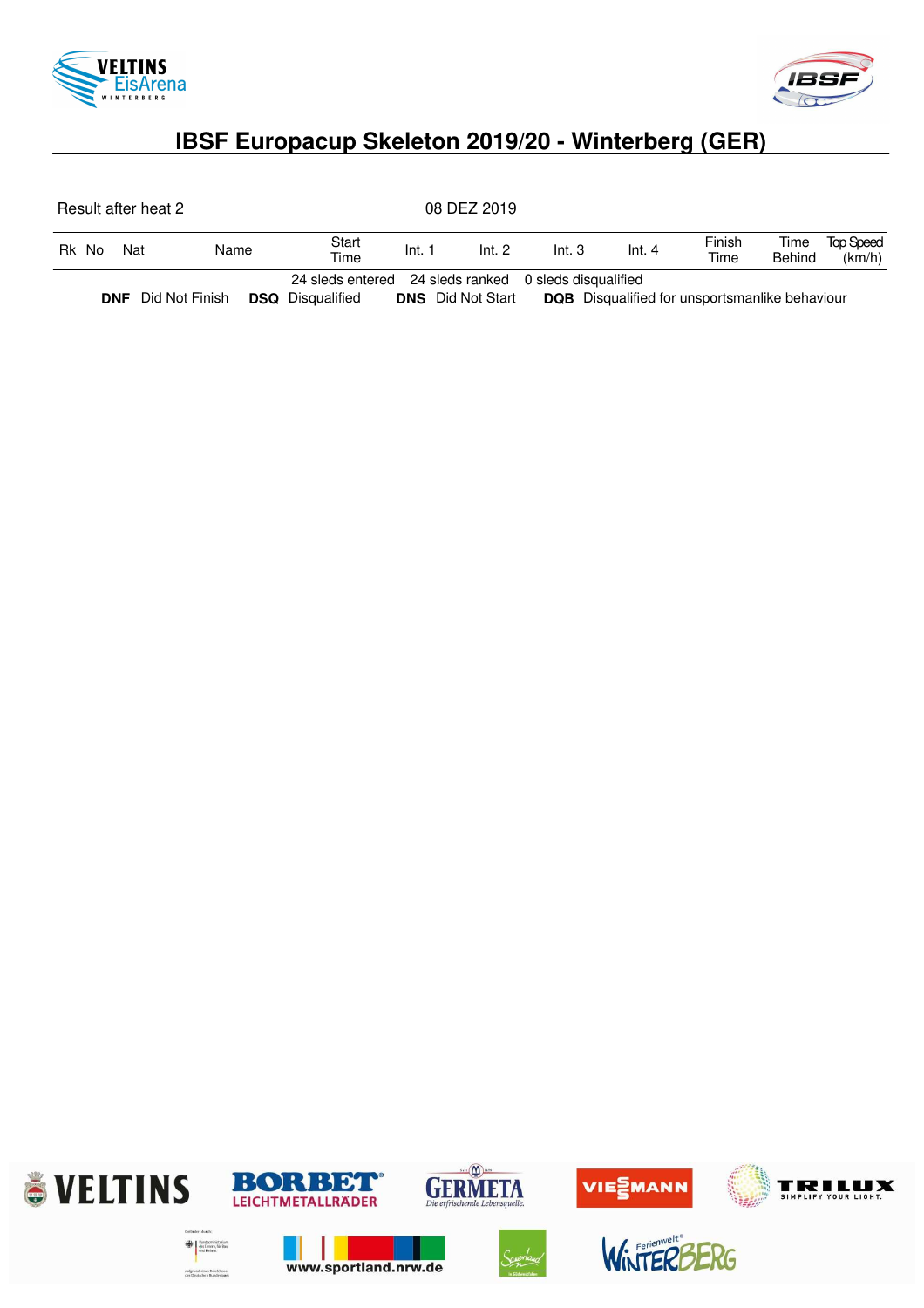



| Result after heat 2 |                |  |                                                                                  |                    | 08 DEZ 2019              |       |                                                       |                |                |                            |
|---------------------|----------------|--|----------------------------------------------------------------------------------|--------------------|--------------------------|-------|-------------------------------------------------------|----------------|----------------|----------------------------|
| Rk No               | Nat<br>Name    |  | Start<br>Time                                                                    | Int. 1<br>Int. $2$ |                          | Int.3 | Int.4                                                 | Finish<br>Time | Time<br>Behind | <b>Top Speed</b><br>(km/h) |
| <b>DNF</b>          | Did Not Finish |  | 24 sleds entered 24 sleds ranked 0 sleds disqualified<br><b>DSQ</b> Disqualified |                    | <b>DNS</b> Did Not Start |       | <b>DQB</b> Disqualified for unsportsmanlike behaviour |                |                |                            |

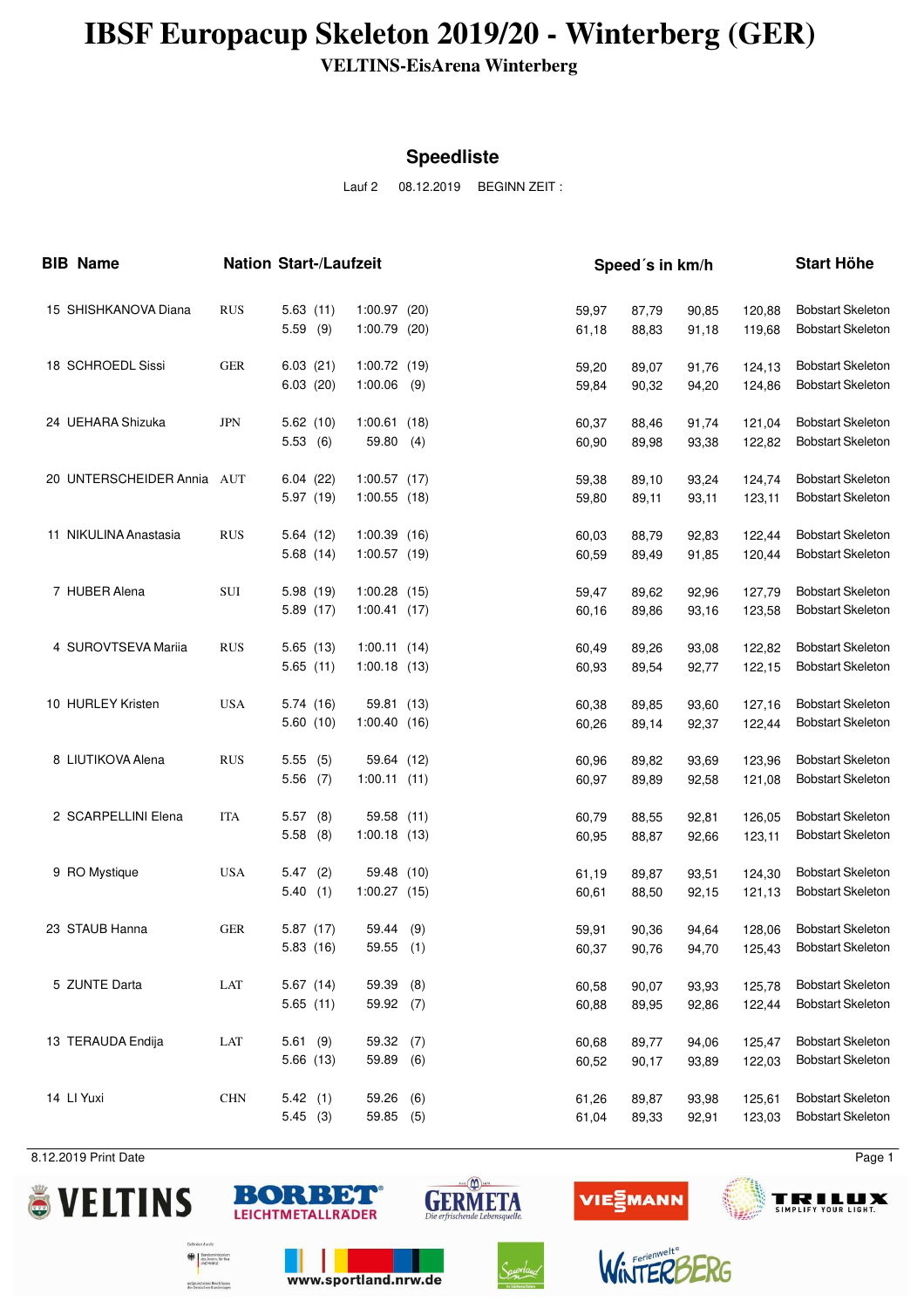**VELTINS-EisArena Winterberg**

#### **Speedliste**

Lauf 2 08.12.2019 BEGINN ZEIT :

| <b>BIB Name</b> |                            | <b>Nation Start-/Laufzeit</b> |                        |                               |     | Speed's in km/h |                |                |                |                  | <b>Start Höhe</b>                                    |  |  |
|-----------------|----------------------------|-------------------------------|------------------------|-------------------------------|-----|-----------------|----------------|----------------|----------------|------------------|------------------------------------------------------|--|--|
|                 | 15 SHISHKANOVA Diana       | <b>RUS</b>                    | 5.63(11)<br>5.59(9)    | 1:00.97(20)<br>1:00.79 (20)   |     |                 | 59,97<br>61,18 | 87,79<br>88,83 | 90,85<br>91,18 | 120,88<br>119,68 | <b>Bobstart Skeleton</b><br><b>Bobstart Skeleton</b> |  |  |
|                 | 18 SCHROEDL Sissi          | <b>GER</b>                    | 6.03(21)<br>6.03(20)   | 1:00.72(19)<br>1:00.06        | (9) |                 | 59,20<br>59,84 | 89,07<br>90,32 | 91,76<br>94,20 | 124,13<br>124,86 | <b>Bobstart Skeleton</b><br><b>Bobstart Skeleton</b> |  |  |
|                 | 24 UEHARA Shizuka          | <b>JPN</b>                    | 5.62(10)<br>5.53(6)    | 1:00.61(18)<br>59.80          | (4) |                 | 60,37<br>60,90 | 88,46<br>89,98 | 91,74<br>93,38 | 121,04<br>122,82 | <b>Bobstart Skeleton</b><br><b>Bobstart Skeleton</b> |  |  |
|                 | 20 UNTERSCHEIDER Annia AUT |                               | 6.04(22)<br>5.97 (19)  | 1:00.57(17)<br>$1:00.55$ (18) |     |                 | 59,38<br>59,80 | 89,10<br>89,11 | 93,24<br>93,11 | 124,74<br>123,11 | <b>Bobstart Skeleton</b><br><b>Bobstart Skeleton</b> |  |  |
|                 | 11 NIKULINA Anastasia      | <b>RUS</b>                    | 5.64(12)<br>5.68(14)   | 1:00.39(16)<br>$1:00.57$ (19) |     |                 | 60,03<br>60,59 | 88,79<br>89,49 | 92,83<br>91,85 | 122,44<br>120,44 | <b>Bobstart Skeleton</b><br><b>Bobstart Skeleton</b> |  |  |
|                 | 7 HUBER Alena              | SUI                           | 5.98(19)<br>5.89 (17)  | $1:00.28$ (15)<br>1:00.41(17) |     |                 | 59,47<br>60,16 | 89,62<br>89,86 | 92,96<br>93,16 | 127,79<br>123,58 | <b>Bobstart Skeleton</b><br><b>Bobstart Skeleton</b> |  |  |
|                 | 4 SUROVTSEVA Mariia        | <b>RUS</b>                    | 5.65(13)<br>5.65(11)   | 1:00.11(14)<br>1:00.18(13)    |     |                 | 60,49<br>60,93 | 89,26<br>89,54 | 93,08<br>92,77 | 122,82<br>122,15 | <b>Bobstart Skeleton</b><br><b>Bobstart Skeleton</b> |  |  |
|                 | 10 HURLEY Kristen          | <b>USA</b>                    | 5.74 (16)<br>5.60(10)  | 59.81 (13)<br>1:00.40(16)     |     |                 | 60,38<br>60,26 | 89,85<br>89,14 | 93,60<br>92,37 | 127,16<br>122,44 | <b>Bobstart Skeleton</b><br><b>Bobstart Skeleton</b> |  |  |
|                 | 8 LIUTIKOVA Alena          | <b>RUS</b>                    | 5.55(5)<br>$5.56$ (7)  | 59.64 (12)<br>1:00.11(11)     |     |                 | 60,96<br>60,97 | 89,82<br>89,89 | 93,69<br>92,58 | 123,96<br>121,08 | <b>Bobstart Skeleton</b><br><b>Bobstart Skeleton</b> |  |  |
|                 | 2 SCARPELLINI Elena        | <b>ITA</b>                    | 5.57(8)<br>5.58<br>(8) | 59.58 (11)<br>1:00.18(13)     |     |                 | 60,79<br>60,95 | 88,55<br>88,87 | 92,81<br>92,66 | 126,05<br>123,11 | <b>Bobstart Skeleton</b><br><b>Bobstart Skeleton</b> |  |  |
|                 | 9 RO Mystique              | <b>USA</b>                    | 5.47(2)<br>5.40<br>(1) | 59.48 (10)<br>1:00.27(15)     |     |                 | 61,19<br>60,61 | 89,87<br>88,50 | 93,51<br>92,15 | 124,30<br>121,13 | <b>Bobstart Skeleton</b><br><b>Bobstart Skeleton</b> |  |  |
|                 | 23 STAUB Hanna             | <b>GER</b>                    | 5.87(17)<br>5.83 (16)  | 59.44<br>$59.55$ (1)          | (9) |                 | 59,91<br>60,37 | 90,36<br>90,76 | 94,64<br>94,70 | 128,06<br>125,43 | <b>Bobstart Skeleton</b><br><b>Bobstart Skeleton</b> |  |  |
|                 | 5 ZUNTE Darta              | $_{\rm LAT}$                  | 5.67(14)<br>5.65(11)   | 59.39<br>59.92 (7)            | (8) |                 | 60,58<br>60,88 | 90,07<br>89,95 | 93,93<br>92,86 | 125,78<br>122,44 | <b>Bobstart Skeleton</b><br><b>Bobstart Skeleton</b> |  |  |
|                 | 13 TERAUDA Endija          | LAT                           | 5.61(9)<br>5.66 (13)   | 59.32 (7)<br>59.89            | (6) |                 | 60,68<br>60,52 | 89,77<br>90,17 | 94,06<br>93,89 | 125,47<br>122,03 | <b>Bobstart Skeleton</b><br><b>Bobstart Skeleton</b> |  |  |
|                 | 14 LI Yuxi                 | CHN                           | 5.42(1)<br>5.45(3)     | 59.26<br>59.85 (5)            | (6) |                 | 61,26<br>61,04 | 89,87<br>89,33 | 93,98<br>92,91 | 125,61<br>123,03 | <b>Bobstart Skeleton</b><br><b>Bobstart Skeleton</b> |  |  |

8.12.2019 Print Date Page 1











www.sportland.nrw.de

öerium<br>Verkim

aufgrund eines Beschlusse<br>des Deutschen Bundestant